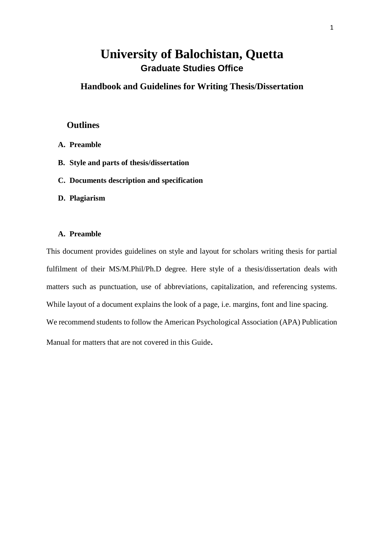# **University of Balochistan, Quetta Graduate Studies Office**

**Handbook and Guidelines for Writing Thesis/Dissertation**

## **Outlines**

- **A. Preamble**
- **B. Style and parts of thesis/dissertation**
- **C. Documents description and specification**
- **D. Plagiarism**

#### **A. Preamble**

This document provides guidelines on style and layout for scholars writing thesis for partial fulfilment of their MS/M.Phil/Ph.D degree. Here style of a thesis/dissertation deals with matters such as punctuation, use of abbreviations, capitalization, and referencing systems. While layout of a document explains the look of a page, i.e. margins, font and line spacing. We recommend students to follow the American Psychological Association (APA) Publication Manual for matters that are not covered in this Guide.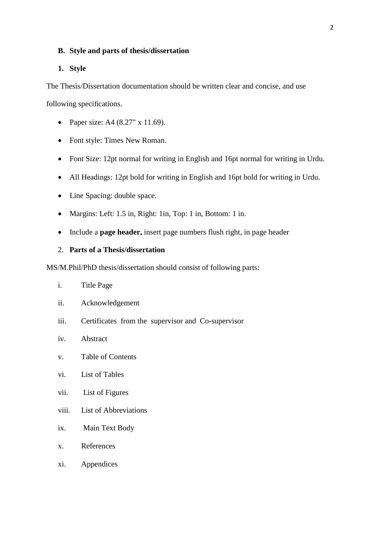#### **B. Style and parts of thesis/dissertation**

## **1. Style**

The Thesis/Dissertation documentation should be written clear and concise, and use following specifications.

- Paper size: A4 (8.27" x 11.69).
- Font style: Times New Roman.
- Font Size: 12pt normal for writing in English and 16pt normal for writing in Urdu.
- All Headings: 12pt bold for writing in English and 16pt bold for writing in Urdu.
- Line Spacing: double space.
- Margins: Left: 1.5 in, Right: 1in, Top: 1 in, Bottom: 1 in.
- Include a **page header,** insert page numbers flush right, in page header

## 2. **Parts of a Thesis/dissertation**

MS/M.Phil/PhD thesis/dissertation should consist of following parts:

- i. Title Page
- ii. Acknowledgement
- iii. Certificates from the supervisor and Co-supervisor
- iv. Abstract
- v. Table of Contents
- vi. List of Tables
- vii. List of Figures
- viii. List of Abbreviations
- ix. Main Text Body
- x. References
- xi. Appendices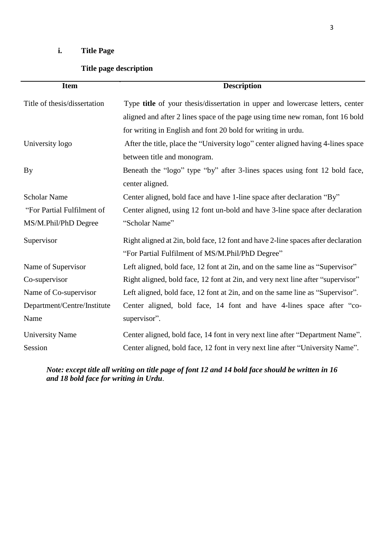## **i. Title Page**

## **Title page description**

| <b>Item</b>                  | <b>Description</b>                                                                |
|------------------------------|-----------------------------------------------------------------------------------|
| Title of thesis/dissertation | Type title of your thesis/dissertation in upper and lowercase letters, center     |
|                              | aligned and after 2 lines space of the page using time new roman, font 16 bold    |
|                              | for writing in English and font 20 bold for writing in urdu.                      |
| University logo              | After the title, place the "University logo" center aligned having 4-lines space  |
|                              | between title and monogram.                                                       |
| By                           | Beneath the "logo" type "by" after 3-lines spaces using font 12 bold face,        |
|                              | center aligned.                                                                   |
| <b>Scholar Name</b>          | Center aligned, bold face and have 1-line space after declaration "By"            |
| "For Partial Fulfilment of   | Center aligned, using 12 font un-bold and have 3-line space after declaration     |
| MS/M.Phil/PhD Degree         | "Scholar Name"                                                                    |
| Supervisor                   | Right aligned at 2in, bold face, 12 font and have 2-line spaces after declaration |
|                              | "For Partial Fulfilment of MS/M.Phil/PhD Degree"                                  |
| Name of Supervisor           | Left aligned, bold face, 12 font at 2in, and on the same line as "Supervisor"     |
| Co-supervisor                | Right aligned, bold face, 12 font at 2in, and very next line after "supervisor"   |
| Name of Co-supervisor        | Left aligned, bold face, 12 font at 2in, and on the same line as "Supervisor".    |
| Department/Centre/Institute  | Center aligned, bold face, 14 font and have 4-lines space after "co-              |
| Name                         | supervisor".                                                                      |
| <b>University Name</b>       | Center aligned, bold face, 14 font in very next line after "Department Name".     |
| Session                      | Center aligned, bold face, 12 font in very next line after "University Name".     |

## Note: except title all writing on title page of font 12 and 14 bold face should be written in 16 *and 18 bold face for writing in Urdu*.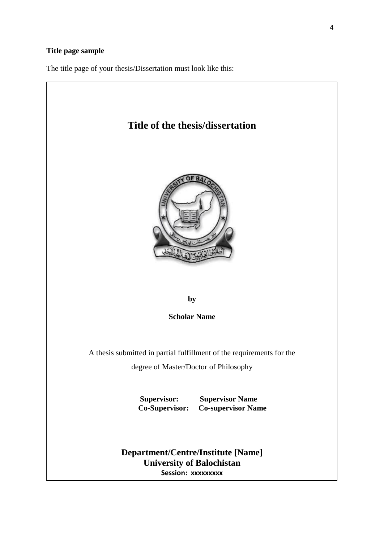## **Title page sample**

The title page of your thesis/Dissertation must look like this:

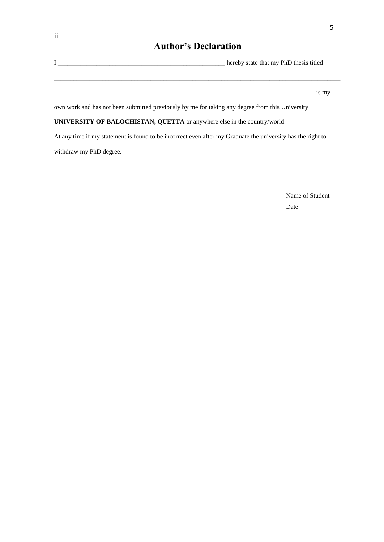# **Author's Declaration**

I \_\_\_\_\_\_\_\_\_\_\_\_\_\_\_\_\_\_\_\_\_\_\_\_\_\_\_\_\_\_\_\_\_\_\_\_\_\_\_\_\_\_\_\_\_\_\_\_\_\_\_\_ hereby state that my PhD thesis titled \_\_\_\_\_\_\_\_\_\_\_\_\_\_\_\_\_\_\_\_\_\_\_\_\_\_\_\_\_\_\_\_\_\_\_\_\_\_\_\_\_\_\_\_\_\_\_\_\_\_\_\_\_\_\_\_\_\_\_\_\_\_\_\_\_\_\_\_\_\_\_\_\_\_\_\_\_\_\_\_\_\_\_\_\_\_\_\_\_

\_\_\_\_\_\_\_\_\_\_\_\_\_\_\_\_\_\_\_\_\_\_\_\_\_\_\_\_\_\_\_\_\_\_\_\_\_\_\_\_\_\_\_\_\_\_\_\_\_\_\_\_\_\_\_\_\_\_\_\_\_\_\_\_\_\_\_\_\_\_\_\_\_\_\_\_\_\_\_\_\_ is my

own work and has not been submitted previously by me for taking any degree from this University

**UNIVERSITY OF BALOCHISTAN, QUETTA** or anywhere else in the country/world.

ii

At any time if my statement is found to be incorrect even after my Graduate the university has the right to withdraw my PhD degree.

> Name of Student Date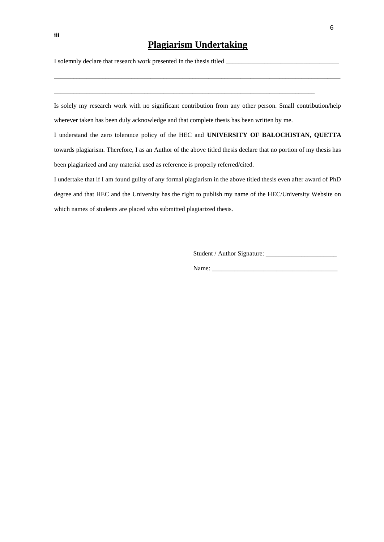\_\_\_\_\_\_\_\_\_\_\_\_\_\_\_\_\_\_\_\_\_\_\_\_\_\_\_\_\_\_\_\_\_\_\_\_\_\_\_\_\_\_\_\_\_\_\_\_\_\_\_\_\_\_\_\_\_\_\_\_\_\_\_\_\_\_\_\_\_\_\_\_\_\_\_\_\_\_\_\_\_\_\_\_\_\_\_\_\_

\_\_\_\_\_\_\_\_\_\_\_\_\_\_\_\_\_\_\_\_\_\_\_\_\_\_\_\_\_\_\_\_\_\_\_\_\_\_\_\_\_\_\_\_\_\_\_\_\_\_\_\_\_\_\_\_\_\_\_\_\_\_\_\_\_\_\_\_\_\_\_\_\_\_\_\_\_\_\_\_\_

I solemnly declare that research work presented in the thesis titled \_\_\_\_\_\_\_\_\_\_\_\_\_\_\_\_\_\_\_\_\_\_\_\_\_\_\_\_\_\_\_\_\_\_\_

Is solely my research work with no significant contribution from any other person. Small contribution/help wherever taken has been duly acknowledge and that complete thesis has been written by me.

I understand the zero tolerance policy of the HEC and **UNIVERSITY OF BALOCHISTAN, QUETTA** towards plagiarism. Therefore, I as an Author of the above titled thesis declare that no portion of my thesis has been plagiarized and any material used as reference is properly referred/cited.

I undertake that if I am found guilty of any formal plagiarism in the above titled thesis even after award of PhD degree and that HEC and the University has the right to publish my name of the HEC/University Website on which names of students are placed who submitted plagiarized thesis.

Student / Author Signature: \_\_\_\_\_\_\_\_\_\_\_\_\_\_\_\_\_\_\_\_\_\_

Name: \_\_\_\_\_\_\_\_\_\_\_\_\_\_\_\_\_\_\_\_\_\_\_\_\_\_\_\_\_\_\_\_\_\_\_\_\_\_\_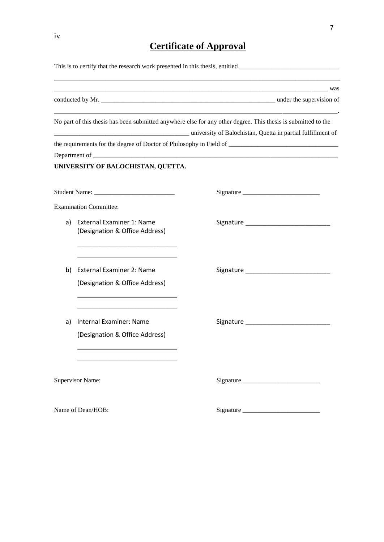# **Certificate of Approval**

|                   |                                                                    | was was a series of the contract of the contract of the contract of the contract of the contract of the contract of the contract of the contract of the contract of the contract of the contract of the contract of the contra |
|-------------------|--------------------------------------------------------------------|--------------------------------------------------------------------------------------------------------------------------------------------------------------------------------------------------------------------------------|
|                   |                                                                    | No part of this thesis has been submitted anywhere else for any other degree. This thesis is submitted to the                                                                                                                  |
|                   |                                                                    | university of Balochistan, Quetta in partial fulfillment of                                                                                                                                                                    |
|                   |                                                                    |                                                                                                                                                                                                                                |
|                   |                                                                    |                                                                                                                                                                                                                                |
|                   | UNIVERSITY OF BALOCHISTAN, QUETTA.                                 |                                                                                                                                                                                                                                |
|                   |                                                                    |                                                                                                                                                                                                                                |
|                   | <b>Examination Committee:</b>                                      |                                                                                                                                                                                                                                |
|                   | a) External Examiner 1: Name<br>(Designation & Office Address)     |                                                                                                                                                                                                                                |
| b)                | <b>External Examiner 2: Name</b><br>(Designation & Office Address) |                                                                                                                                                                                                                                |
|                   | <b>Internal Examiner: Name</b>                                     |                                                                                                                                                                                                                                |
| a)                | (Designation & Office Address)                                     |                                                                                                                                                                                                                                |
|                   | <b>Supervisor Name:</b>                                            |                                                                                                                                                                                                                                |
| Name of Dean/HOB: |                                                                    | Signature                                                                                                                                                                                                                      |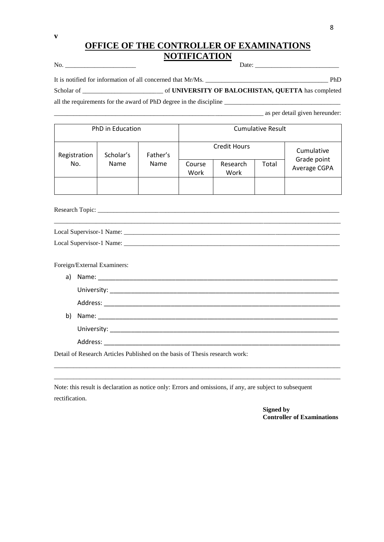## **OFFICE OF THE CONTROLLER OF EXAMINATIONS NOTIFICATION**

| N.<br>,,,                           | ________________________________ |                                                 |  |
|-------------------------------------|----------------------------------|-------------------------------------------------|--|
|                                     |                                  |                                                 |  |
| the contract of the contract of the |                                  | the contract of the contract of the contract of |  |

It is notified for information of all concerned that Mr/Ms.

Scholar of \_\_\_\_\_\_\_\_\_\_\_\_\_\_\_\_\_\_\_\_\_\_\_\_\_ of **UNIVERSITY OF BALOCHISTAN, QUETTA** has completed

all the requirements for the award of PhD degree in the discipline \_\_\_\_\_\_\_\_\_\_\_\_\_\_

\_\_\_\_\_\_\_\_\_\_\_\_\_\_\_\_\_\_\_\_\_\_\_\_\_\_\_\_\_\_\_\_\_\_\_\_\_\_\_\_\_\_\_\_\_\_\_\_\_\_\_\_\_\_\_\_\_\_\_\_\_\_\_\_\_ as per detail given hereunder:

| PhD in Education |                       |             | <b>Cumulative Result</b> |                  |       |                             |
|------------------|-----------------------|-------------|--------------------------|------------------|-------|-----------------------------|
| Registration     | Father's<br>Scholar's |             | <b>Credit Hours</b>      |                  |       | Cumulative                  |
| No.              | Name                  | <b>Name</b> | Course<br>Work           | Research<br>Work | Total | Grade point<br>Average CGPA |
|                  |                       |             |                          |                  |       |                             |

Research Topic: \_\_\_\_\_\_\_\_\_\_\_\_\_\_\_\_\_\_\_\_\_\_\_\_\_\_\_\_\_\_\_\_\_\_\_\_\_\_\_\_\_\_\_\_\_\_\_\_\_\_\_\_\_\_\_\_\_\_\_\_\_\_\_\_\_\_\_\_\_\_\_\_\_\_\_

**v**

| Local Supervisor-1 Name: |  |
|--------------------------|--|
| Local Supervisor-1 Name: |  |

Foreign/External Examiners:

| a) |          |
|----|----------|
|    |          |
|    |          |
| b) |          |
|    |          |
|    | Address: |

\_\_\_\_\_\_\_\_\_\_\_\_\_\_\_\_\_\_\_\_\_\_\_\_\_\_\_\_\_\_\_\_\_\_\_\_\_\_\_\_\_\_\_\_\_\_\_\_\_\_\_\_\_\_\_\_\_\_\_\_\_\_\_\_\_\_\_\_\_\_\_\_\_\_\_\_\_\_\_\_\_\_\_\_\_\_\_\_\_ \_\_\_\_\_\_\_\_\_\_\_\_\_\_\_\_\_\_\_\_\_\_\_\_\_\_\_\_\_\_\_\_\_\_\_\_\_\_\_\_\_\_\_\_\_\_\_\_\_\_\_\_\_\_\_\_\_\_\_\_\_\_\_\_\_\_\_\_\_\_\_\_\_\_\_\_\_\_\_\_\_\_\_\_\_\_\_\_\_

Detail of Research Articles Published on the basis of Thesis research work:

Note: this result is declaration as notice only: Errors and omissions, if any, are subject to subsequent rectification.

> **Signed by Controller of Examinations**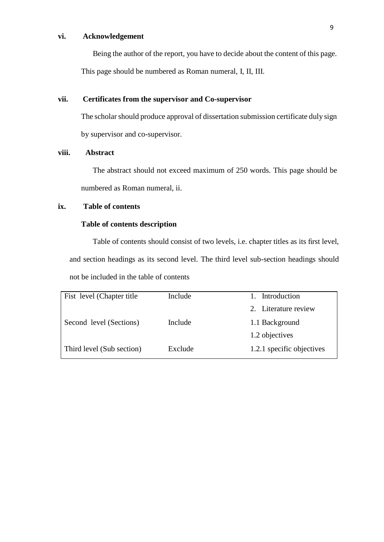## **vi. Acknowledgement**

Being the author of the report, you have to decide about the content of this page. This page should be numbered as Roman numeral, I, II, III.

## **vii. Certificates from the supervisor and Co-supervisor**

The scholar should produce approval of dissertation submission certificate duly sign by supervisor and co-supervisor.

## **viii. Abstract**

The abstract should not exceed maximum of 250 words. This page should be numbered as Roman numeral, ii.

## **ix. Table of contents**

## **Table of contents description**

Table of contents should consist of two levels, i.e. chapter titles as its first level, and section headings as its second level. The third level sub-section headings should not be included in the table of contents

| Fist level (Chapter title | Include | Introduction              |
|---------------------------|---------|---------------------------|
|                           |         | 2. Literature review      |
| Second level (Sections)   | Include | 1.1 Background            |
|                           |         | 1.2 objectives            |
| Third level (Sub section) | Exclude | 1.2.1 specific objectives |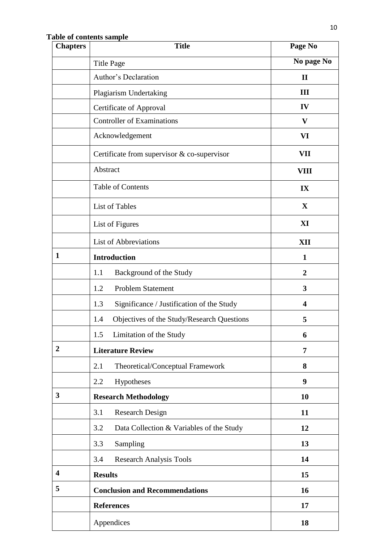|                         | <b>Title Page</b><br>Author's Declaration<br>Plagiarism Undertaking<br>Certificate of Approval<br><b>Controller of Examinations</b><br>Acknowledgement | No page No<br>$\mathbf{I}$<br>III<br>IV<br>V |
|-------------------------|--------------------------------------------------------------------------------------------------------------------------------------------------------|----------------------------------------------|
|                         |                                                                                                                                                        |                                              |
|                         |                                                                                                                                                        |                                              |
|                         |                                                                                                                                                        |                                              |
|                         |                                                                                                                                                        |                                              |
|                         |                                                                                                                                                        |                                              |
|                         |                                                                                                                                                        | VI                                           |
|                         | Certificate from supervisor & co-supervisor                                                                                                            | VII                                          |
|                         | Abstract                                                                                                                                               | <b>VIII</b>                                  |
|                         | <b>Table of Contents</b>                                                                                                                               | IX                                           |
|                         | List of Tables                                                                                                                                         | X                                            |
|                         | List of Figures                                                                                                                                        | XI                                           |
|                         | <b>List of Abbreviations</b>                                                                                                                           | XII                                          |
| 1                       | <b>Introduction</b>                                                                                                                                    | $\mathbf{1}$                                 |
|                         | Background of the Study<br>1.1                                                                                                                         | $\boldsymbol{2}$                             |
|                         | 1.2<br><b>Problem Statement</b>                                                                                                                        | 3                                            |
|                         | Significance / Justification of the Study<br>1.3                                                                                                       | $\overline{\mathbf{4}}$                      |
|                         | Objectives of the Study/Research Questions<br>1.4                                                                                                      | 5                                            |
|                         | Limitation of the Study<br>1.5                                                                                                                         | 6                                            |
| $\overline{2}$          | <b>Literature Review</b>                                                                                                                               | 7                                            |
|                         | 2.1<br>Theoretical/Conceptual Framework                                                                                                                | 8                                            |
|                         | Hypotheses<br>2.2                                                                                                                                      | 9                                            |
| 3                       | <b>Research Methodology</b>                                                                                                                            | 10                                           |
|                         | <b>Research Design</b><br>3.1                                                                                                                          | 11                                           |
|                         | 3.2<br>Data Collection & Variables of the Study                                                                                                        | 12                                           |
|                         | 3.3<br>Sampling                                                                                                                                        | 13                                           |
|                         | 3.4<br><b>Research Analysis Tools</b>                                                                                                                  | 14                                           |
| $\overline{\mathbf{4}}$ | <b>Results</b>                                                                                                                                         | 15                                           |
| 5                       | <b>Conclusion and Recommendations</b>                                                                                                                  | 16                                           |
|                         | <b>References</b>                                                                                                                                      | 17                                           |
|                         | Appendices                                                                                                                                             | 18                                           |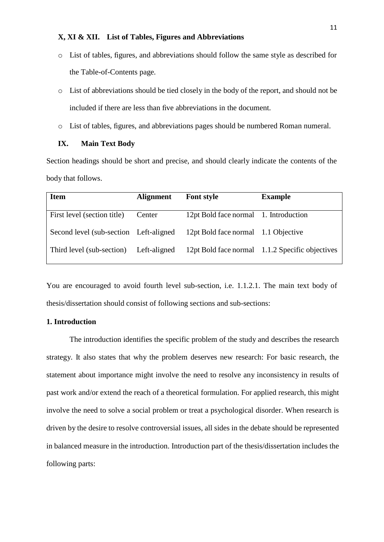#### **X, XI & XII. List of Tables, Figures and Abbreviations**

- o List of tables, figures, and abbreviations should follow the same style as described for the Table-of-Contents page.
- o List of abbreviations should be tied closely in the body of the report, and should not be included if there are less than five abbreviations in the document.
- o List of tables, figures, and abbreviations pages should be numbered Roman numeral.

#### **IX. Main Text Body**

Section headings should be short and precise, and should clearly indicate the contents of the body that follows.

| <b>Item</b>                            | <b>Alignment</b> | <b>Font style</b>                     | <b>Example</b>                                  |
|----------------------------------------|------------------|---------------------------------------|-------------------------------------------------|
| First level (section title)            | Center           | 12pt Bold face normal 1. Introduction |                                                 |
| Second level (sub-section Left-aligned |                  | 12pt Bold face normal 1.1 Objective   |                                                 |
| Third level (sub-section)              | Left-aligned     |                                       | 12pt Bold face normal 1.1.2 Specific objectives |
|                                        |                  |                                       |                                                 |

You are encouraged to avoid fourth level sub-section, i.e. 1.1.2.1. The main text body of thesis/dissertation should consist of following sections and sub-sections:

## **1. Introduction**

The introduction identifies the specific problem of the study and describes the research strategy. It also states that why the problem deserves new research: For basic research, the statement about importance might involve the need to resolve any inconsistency in results of past work and/or extend the reach of a theoretical formulation. For applied research, this might involve the need to solve a social problem or treat a psychological disorder. When research is driven by the desire to resolve controversial issues, all sides in the debate should be represented in balanced measure in the introduction. Introduction part of the thesis/dissertation includes the following parts: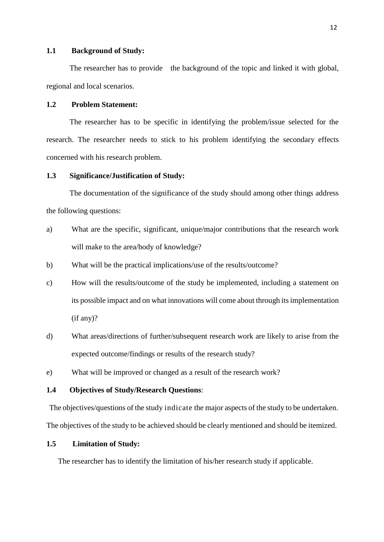#### **1.1 Background of Study:**

The researcher has to provide the background of the topic and linked it with global, regional and local scenarios.

## **1.2 Problem Statement:**

The researcher has to be specific in identifying the problem/issue selected for the research. The researcher needs to stick to his problem identifying the secondary effects concerned with his research problem.

#### **1.3 Significance/Justification of Study:**

The documentation of the significance of the study should among other things address the following questions:

- a) What are the specific, significant, unique/major contributions that the research work will make to the area/body of knowledge?
- b) What will be the practical implications/use of the results/outcome?
- c) How will the results/outcome of the study be implemented, including a statement on its possible impact and on what innovations will come about through its implementation (if any)?
- d) What areas/directions of further/subsequent research work are likely to arise from the expected outcome/findings or results of the research study?
- e) What will be improved or changed as a result of the research work?

### **1.4 Objectives of Study/Research Questions**:

The objectives/questions of the study indicate the major aspects of the study to be undertaken. The objectives of the study to be achieved should be clearly mentioned and should be itemized.

## **1.5 Limitation of Study:**

The researcher has to identify the limitation of his/her research study if applicable.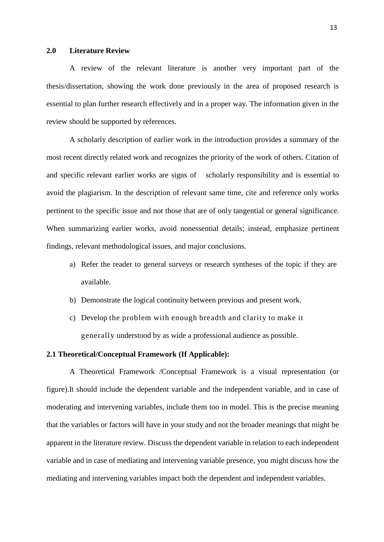#### **2.0 Literature Review**

A review of the relevant literature is another very important part of the thesis/dissertation, showing the work done previously in the area of proposed research is essential to plan further research effectively and in a proper way. The information given in the review should be supported by references.

A scholarly description of earlier work in the introduction provides a summary of the most recent directly related work and recognizes the priority of the work of others. Citation of and specific relevant earlier works are signs of scholarly responsibility and is essential to avoid the plagiarism. In the description of relevant same time, cite and reference only works pertinent to the specific issue and not those that are of only tangential or general significance. When summarizing earlier works, avoid nonessential details; instead, emphasize pertinent findings, relevant methodological issues, and major conclusions.

- a) Refer the reader to general surveys or research syntheses of the topic if they are available.
- b) Demonstrate the logical continuity between previous and present work.
- c) Develop the problem with enough breadth and clarity to make it generally understood by as wide a professional audience as possible.

#### **2.1 Theoretical/Conceptual Framework (If Applicable):**

A Theoretical Framework /Conceptual Framework is a visual representation (or figure).It should include the dependent variable and the independent variable, and in case of moderating and intervening variables, include them too in model. This is the precise meaning that the variables or factors will have in your study and not the broader meanings that might be apparent in the literature review. Discuss the dependent variable in relation to each independent variable and in case of mediating and intervening variable presence, you might discuss how the mediating and intervening variables impact both the dependent and independent variables.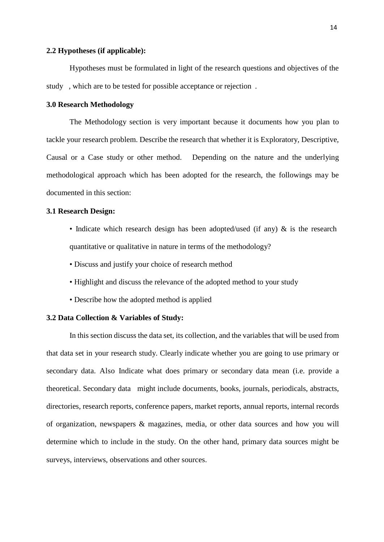#### **2.2 Hypotheses (if applicable):**

Hypotheses must be formulated in light of the research questions and objectives of the study , which are to be tested for possible acceptance or rejection .

#### **3.0 Research Methodology**

The Methodology section is very important because it documents how you plan to tackle your research problem. Describe the research that whether it is Exploratory, Descriptive, Causal or a Case study or other method. Depending on the nature and the underlying methodological approach which has been adopted for the research, the followings may be documented in this section:

#### **3.1 Research Design:**

- Indicate which research design has been adopted/used (if any) & is the research quantitative or qualitative in nature in terms of the methodology?
- Discuss and justify your choice of research method
- Highlight and discuss the relevance of the adopted method to your study
- Describe how the adopted method is applied

#### **3.2 Data Collection & Variables of Study:**

In this section discuss the data set, its collection, and the variables that will be used from that data set in your research study. Clearly indicate whether you are going to use primary or secondary data. Also Indicate what does primary or secondary data mean (i.e. provide a theoretical. Secondary data might include documents, books, journals, periodicals, abstracts, directories, research reports, conference papers, market reports, annual reports, internal records of organization, newspapers & magazines, media, or other data sources and how you will determine which to include in the study. On the other hand, primary data sources might be surveys, interviews, observations and other sources.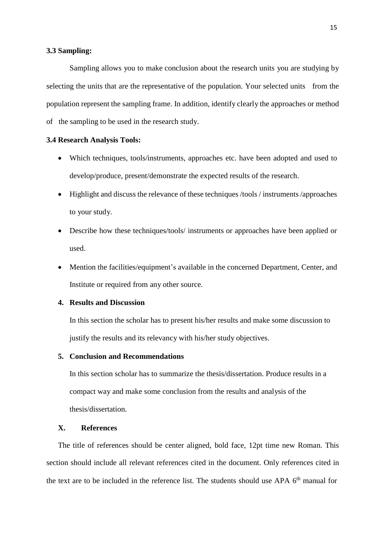#### **3.3 Sampling:**

Sampling allows you to make conclusion about the research units you are studying by selecting the units that are the representative of the population. Your selected units from the population represent the sampling frame. In addition, identify clearly the approaches or method of the sampling to be used in the research study.

## **3.4 Research Analysis Tools:**

- Which techniques, tools/instruments, approaches etc. have been adopted and used to develop/produce, present/demonstrate the expected results of the research.
- Highlight and discuss the relevance of these techniques /tools / instruments /approaches to your study.
- Describe how these techniques/tools/ instruments or approaches have been applied or used.
- Mention the facilities/equipment's available in the concerned Department, Center, and Institute or required from any other source.

### **4. Results and Discussion**

In this section the scholar has to present his/her results and make some discussion to justify the results and its relevancy with his/her study objectives.

## **5. Conclusion and Recommendations**

In this section scholar has to summarize the thesis/dissertation. Produce results in a compact way and make some conclusion from the results and analysis of the thesis/dissertation.

#### **X. References**

The title of references should be center aligned, bold face, 12pt time new Roman. This section should include all relevant references cited in the document. Only references cited in the text are to be included in the reference list. The students should use APA 6<sup>th</sup> manual for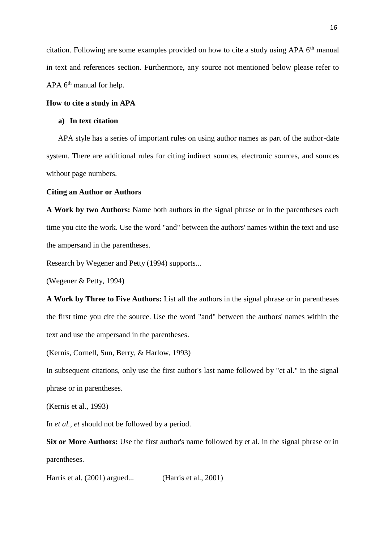citation. Following are some examples provided on how to cite a study using APA 6<sup>th</sup> manual in text and references section. Furthermore, any source not mentioned below please refer to  $APA$  6<sup>th</sup> manual for help.

## **How to cite a study in APA**

#### **a) In text citation**

APA style has a series of important rules on using author names as part of the author-date system. There are additional rules for citing indirect sources, electronic sources, and sources without page numbers.

#### **Citing an Author or Authors**

**A Work by two Authors:** Name both authors in the signal phrase or in the parentheses each time you cite the work. Use the word "and" between the authors' names within the text and use the ampersand in the parentheses.

Research by Wegener and Petty (1994) supports...

(Wegener & Petty, 1994)

**A Work by Three to Five Authors:** List all the authors in the signal phrase or in parentheses the first time you cite the source. Use the word "and" between the authors' names within the text and use the ampersand in the parentheses.

(Kernis, Cornell, Sun, Berry, & Harlow, 1993)

In subsequent citations, only use the first author's last name followed by "et al." in the signal phrase or in parentheses.

(Kernis et al., 1993)

In *et al.*, *et* should not be followed by a period.

**Six or More Authors:** Use the first author's name followed by et al. in the signal phrase or in parentheses.

Harris et al. (2001) argued... (Harris et al., 2001)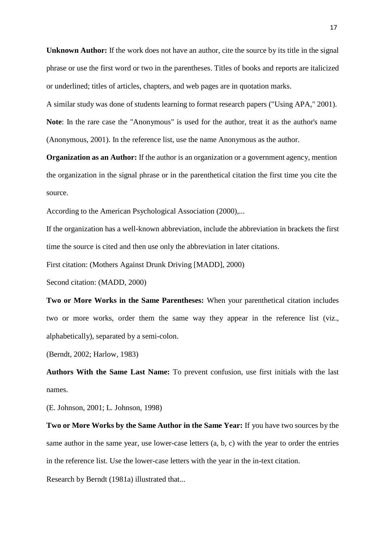**Unknown Author:** If the work does not have an author, cite the source by its title in the signal phrase or use the first word or two in the parentheses. Titles of books and reports are italicized or underlined; titles of articles, chapters, and web pages are in quotation marks.

A similar study was done of students learning to format research papers ("Using APA," 2001).

**Note**: In the rare case the "Anonymous" is used for the author, treat it as the author's name (Anonymous, 2001). In the reference list, use the name Anonymous as the author.

**Organization as an Author:** If the author is an organization or a government agency, mention the organization in the signal phrase or in the parenthetical citation the first time you cite the source.

According to the American Psychological Association (2000),...

If the organization has a well-known abbreviation, include the abbreviation in brackets the first time the source is cited and then use only the abbreviation in later citations.

First citation: (Mothers Against Drunk Driving [MADD], 2000)

Second citation: (MADD, 2000)

**Two or More Works in the Same Parentheses:** When your parenthetical citation includes two or more works, order them the same way they appear in the reference list (viz., alphabetically), separated by a semi-colon.

(Berndt, 2002; Harlow, 1983)

**Authors With the Same Last Name:** To prevent confusion, use first initials with the last names.

(E. Johnson, 2001; L. Johnson, 1998)

**Two or More Works by the Same Author in the Same Year:** If you have two sources by the same author in the same year, use lower-case letters (a, b, c) with the year to order the entries in the reference list. Use the lower-case letters with the year in the in-text citation.

Research by Berndt (1981a) illustrated that...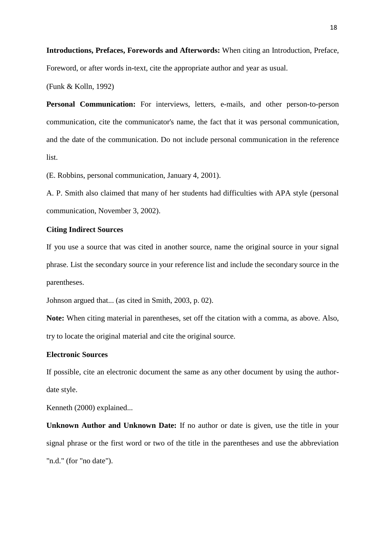**Introductions, Prefaces, Forewords and Afterwords:** When citing an Introduction, Preface, Foreword, or after words in-text, cite the appropriate author and year as usual.

(Funk & Kolln, 1992)

**Personal Communication:** For interviews, letters, e-mails, and other person-to-person communication, cite the communicator's name, the fact that it was personal communication, and the date of the communication. Do not include personal communication in the reference list.

(E. Robbins, personal communication, January 4, 2001).

A. P. Smith also claimed that many of her students had difficulties with APA style (personal communication, November 3, 2002).

#### **Citing Indirect Sources**

If you use a source that was cited in another source, name the original source in your signal phrase. List the secondary source in your reference list and include the secondary source in the parentheses.

Johnson argued that... (as cited in Smith, 2003, p. 02).

**Note:** When citing material in parentheses, set off the citation with a comma, as above. Also, try to locate the original material and cite the original source.

## **Electronic Sources**

If possible, cite an electronic document the same as any other document by using the authordate style.

Kenneth (2000) explained...

**Unknown Author and Unknown Date:** If no author or date is given, use the title in your signal phrase or the first word or two of the title in the parentheses and use the abbreviation "n.d." (for "no date").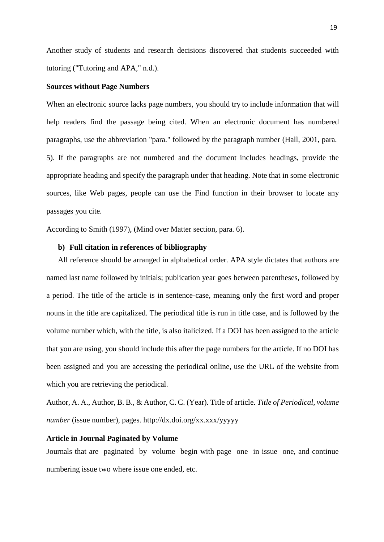Another study of students and research decisions discovered that students succeeded with tutoring ("Tutoring and APA," n.d.).

#### **Sources without Page Numbers**

When an electronic source lacks page numbers, you should try to include information that will help readers find the passage being cited. When an electronic document has numbered paragraphs, use the abbreviation "para." followed by the paragraph number (Hall, 2001, para. 5). If the paragraphs are not numbered and the document includes headings, provide the appropriate heading and specify the paragraph under that heading. Note that in some electronic sources, like Web pages, people can use the Find function in their browser to locate any passages you cite.

According to Smith (1997), (Mind over Matter section, para. 6).

#### **b) Full citation in references of bibliography**

All reference should be arranged in alphabetical order. APA style dictates that authors are named last name followed by initials; publication year goes between parentheses, followed by a period. The title of the article is in sentence-case, meaning only the first word and proper nouns in the title are capitalized. The periodical title is run in title case, and is followed by the volume number which, with the title, is also italicized. If a DOI has been assigned to the article that you are using, you should include this after the page numbers for the article. If no DOI has been assigned and you are accessing the periodical online, use the URL of the website from which you are retrieving the periodical.

Author, A. A., Author, B. B., & Author, C. C. (Year). Title of article. *Title of Periodical, volume number* (issue number), pag[es. http://dx.doi.org/xx.xxx/yyyyy](http://dx.doi.org/xx.xxx/)

#### **Article in Journal Paginated by Volume**

Journals that are paginated by volume begin with page one in issue one, and continue numbering issue two where issue one ended, etc.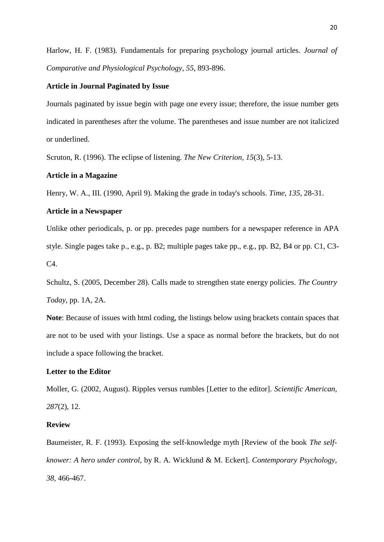Harlow, H. F. (1983). Fundamentals for preparing psychology journal articles. *Journal of Comparative and Physiological Psychology, 55*, 893-896.

#### **Article in Journal Paginated by Issue**

Journals paginated by issue begin with page one every issue; therefore, the issue number gets indicated in parentheses after the volume. The parentheses and issue number are not italicized or underlined.

Scruton, R. (1996). The eclipse of listening. *The New Criterion, 15*(3), 5-13.

#### **Article in a Magazine**

Henry, W. A., III. (1990, April 9). Making the grade in today's schools. *Time, 135*, 28-31.

## **Article in a Newspaper**

Unlike other periodicals, p. or pp. precedes page numbers for a newspaper reference in APA style. Single pages take p., e.g., p. B2; multiple pages take pp., e.g., pp. B2, B4 or pp. C1, C3- C4.

Schultz, S. (2005, December 28). Calls made to strengthen state energy policies. *The Country Today*, pp. 1A, 2A.

**Note**: Because of issues with html coding, the listings below using brackets contain spaces that are not to be used with your listings. Use a space as normal before the brackets, but do not include a space following the bracket.

## **Letter to the Editor**

Moller, G. (2002, August). Ripples versus rumbles [Letter to the editor]. *Scientific American, 287*(2), 12.

#### **Review**

Baumeister, R. F. (1993). Exposing the self-knowledge myth [Review of the book *The selfknower: A hero under control*, by R. A. Wicklund & M. Eckert]. *Contemporary Psychology, 38*, 466-467.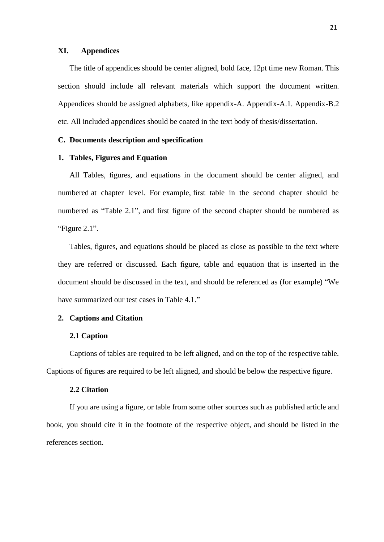#### **XI. Appendices**

The title of appendices should be center aligned, bold face, 12pt time new Roman. This section should include all relevant materials which support the document written. Appendices should be assigned alphabets, like appendix-A. Appendix-A.1. Appendix-B.2 etc. All included appendices should be coated in the text body of thesis/dissertation.

## **C. Documents description and specification**

#### **1. Tables, Figures and Equation**

All Tables, figures, and equations in the document should be center aligned, and numbered at chapter level. For example, first table in the second chapter should be numbered as "Table 2.1", and first figure of the second chapter should be numbered as "Figure 2.1".

Tables, figures, and equations should be placed as close as possible to the text where they are referred or discussed. Each figure, table and equation that is inserted in the document should be discussed in the text, and should be referenced as (for example) "We have summarized our test cases in Table 4.1."

#### **2. Captions and Citation**

#### **2.1 Caption**

Captions of tables are required to be left aligned, and on the top of the respective table. Captions of figures are required to be left aligned, and should be below the respective figure.

#### **2.2 Citation**

If you are using a figure, or table from some other sources such as published article and book, you should cite it in the footnote of the respective object, and should be listed in the references section.